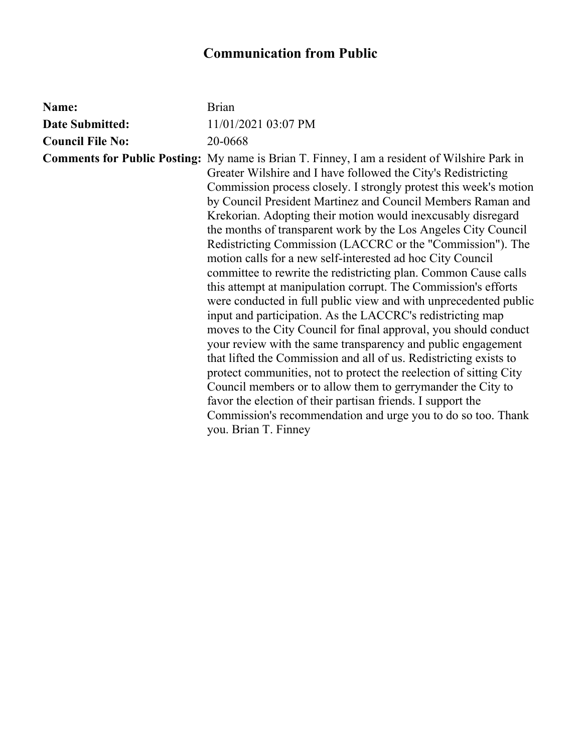## **Communication from Public**

| Name:                   | <b>Brian</b>                                                                                                                                                                                                                                                                                                                                                                                                                                                                                                                                                                                                                                                                                                                                                                                                                                                                                                                                                                                                                                                                                                                                                                                                                                                                                                                                       |
|-------------------------|----------------------------------------------------------------------------------------------------------------------------------------------------------------------------------------------------------------------------------------------------------------------------------------------------------------------------------------------------------------------------------------------------------------------------------------------------------------------------------------------------------------------------------------------------------------------------------------------------------------------------------------------------------------------------------------------------------------------------------------------------------------------------------------------------------------------------------------------------------------------------------------------------------------------------------------------------------------------------------------------------------------------------------------------------------------------------------------------------------------------------------------------------------------------------------------------------------------------------------------------------------------------------------------------------------------------------------------------------|
| <b>Date Submitted:</b>  | 11/01/2021 03:07 PM                                                                                                                                                                                                                                                                                                                                                                                                                                                                                                                                                                                                                                                                                                                                                                                                                                                                                                                                                                                                                                                                                                                                                                                                                                                                                                                                |
| <b>Council File No:</b> | 20-0668                                                                                                                                                                                                                                                                                                                                                                                                                                                                                                                                                                                                                                                                                                                                                                                                                                                                                                                                                                                                                                                                                                                                                                                                                                                                                                                                            |
|                         | <b>Comments for Public Posting:</b> My name is Brian T. Finney, I am a resident of Wilshire Park in<br>Greater Wilshire and I have followed the City's Redistricting<br>Commission process closely. I strongly protest this week's motion<br>by Council President Martinez and Council Members Raman and<br>Krekorian. Adopting their motion would inexcusably disregard<br>the months of transparent work by the Los Angeles City Council<br>Redistricting Commission (LACCRC or the "Commission"). The<br>motion calls for a new self-interested ad hoc City Council<br>committee to rewrite the redistricting plan. Common Cause calls<br>this attempt at manipulation corrupt. The Commission's efforts<br>were conducted in full public view and with unprecedented public<br>input and participation. As the LACCRC's redistricting map<br>moves to the City Council for final approval, you should conduct<br>your review with the same transparency and public engagement<br>that lifted the Commission and all of us. Redistricting exists to<br>protect communities, not to protect the reelection of sitting City<br>Council members or to allow them to gerrymander the City to<br>favor the election of their partisan friends. I support the<br>Commission's recommendation and urge you to do so too. Thank<br>you. Brian T. Finney |